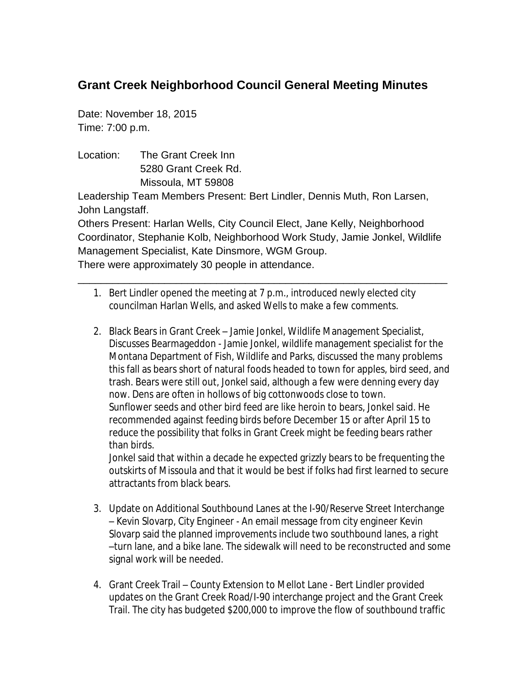## **Grant Creek Neighborhood Council General Meeting Minutes**

Date: November 18, 2015 Time: 7:00 p.m.

Location: The Grant Creek Inn 5280 Grant Creek Rd. Missoula, MT 59808

Leadership Team Members Present: Bert Lindler, Dennis Muth, Ron Larsen, John Langstaff.

Others Present: Harlan Wells, City Council Elect, Jane Kelly, Neighborhood Coordinator, Stephanie Kolb, Neighborhood Work Study, Jamie Jonkel, Wildlife Management Specialist, Kate Dinsmore, WGM Group. There were approximately 30 people in attendance.

\_\_\_\_\_\_\_\_\_\_\_\_\_\_\_\_\_\_\_\_\_\_\_\_\_\_\_\_\_\_\_\_\_\_\_\_\_\_\_\_\_\_\_\_\_\_\_\_\_\_\_\_\_\_\_\_\_\_\_\_\_\_\_\_

- 1. Bert Lindler opened the meeting at 7 p.m., introduced newly elected city councilman Harlan Wells, and asked Wells to make a few comments.
- 2. Black Bears in Grant Creek Jamie Jonkel, Wildlife Management Specialist, Discusses Bearmageddon - Jamie Jonkel, wildlife management specialist for the Montana Department of Fish, Wildlife and Parks, discussed the many problems this fall as bears short of natural foods headed to town for apples, bird seed, and trash. Bears were still out, Jonkel said, although a few were denning every day now. Dens are often in hollows of big cottonwoods close to town. Sunflower seeds and other bird feed are like heroin to bears, Jonkel said. He recommended against feeding birds before December 15 or after April 15 to reduce the possibility that folks in Grant Creek might be feeding bears rather than birds.

Jonkel said that within a decade he expected grizzly bears to be frequenting the outskirts of Missoula and that it would be best if folks had first learned to secure attractants from black bears.

- 3. Update on Additional Southbound Lanes at the I-90/Reserve Street Interchange – Kevin Slovarp, City Engineer - An email message from city engineer Kevin Slovarp said the planned improvements include two southbound lanes, a right –turn lane, and a bike lane. The sidewalk will need to be reconstructed and some signal work will be needed.
- 4. Grant Creek Trail County Extension to Mellot Lane Bert Lindler provided updates on the Grant Creek Road/I-90 interchange project and the Grant Creek Trail. The city has budgeted \$200,000 to improve the flow of southbound traffic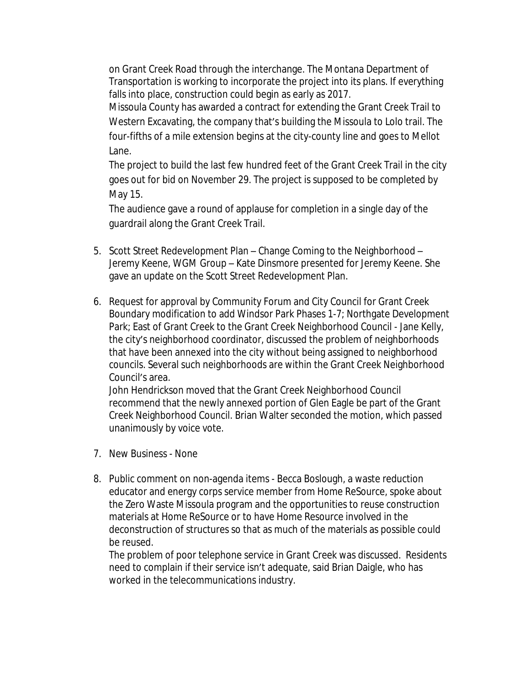on Grant Creek Road through the interchange. The Montana Department of Transportation is working to incorporate the project into its plans. If everything falls into place, construction could begin as early as 2017.

Missoula County has awarded a contract for extending the Grant Creek Trail to Western Excavating, the company that's building the Missoula to Lolo trail. The four-fifths of a mile extension begins at the city-county line and goes to Mellot Lane.

The project to build the last few hundred feet of the Grant Creek Trail in the city goes out for bid on November 29. The project is supposed to be completed by May 15.

The audience gave a round of applause for completion in a single day of the guardrail along the Grant Creek Trail.

- 5. Scott Street Redevelopment Plan Change Coming to the Neighborhood Jeremy Keene, WGM Group – Kate Dinsmore presented for Jeremy Keene. She gave an update on the Scott Street Redevelopment Plan.
- 6. Request for approval by Community Forum and City Council for Grant Creek Boundary modification to add Windsor Park Phases 1-7; Northgate Development Park; East of Grant Creek to the Grant Creek Neighborhood Council - Jane Kelly, the city's neighborhood coordinator, discussed the problem of neighborhoods that have been annexed into the city without being assigned to neighborhood councils. Several such neighborhoods are within the Grant Creek Neighborhood Council's area.

John Hendrickson moved that the Grant Creek Neighborhood Council recommend that the newly annexed portion of Glen Eagle be part of the Grant Creek Neighborhood Council. Brian Walter seconded the motion, which passed unanimously by voice vote.

- 7. New Business None
- 8. Public comment on non-agenda items Becca Boslough, a waste reduction educator and energy corps service member from Home ReSource, spoke about the Zero Waste Missoula program and the opportunities to reuse construction materials at Home ReSource or to have Home Resource involved in the deconstruction of structures so that as much of the materials as possible could be reused.

The problem of poor telephone service in Grant Creek was discussed. Residents need to complain if their service isn't adequate, said Brian Daigle, who has worked in the telecommunications industry.